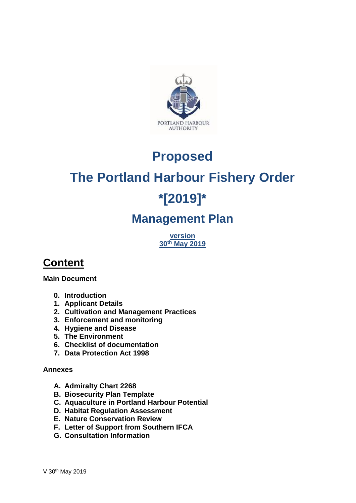

### **Proposed**

# **The Portland Harbour Fishery Order**

## **\*[2019]\***

### **Management Plan**

**version 30th May 2019**

### **Content**

**Main Document**

- **0. Introduction**
- **1. Applicant Details**
- **2. Cultivation and Management Practices**
- **3. Enforcement and monitoring**
- **4. Hygiene and Disease**
- **5. The Environment**
- **6. Checklist of documentation**
- **7. Data Protection Act 1998**

#### **Annexes**

- **A. Admiralty Chart 2268**
- **B. Biosecurity Plan Template**
- **C. Aquaculture in Portland Harbour Potential**
- **D. Habitat Regulation Assessment**
- **E. Nature Conservation Review**
- **F. Letter of Support from Southern IFCA**
- **G. Consultation Information**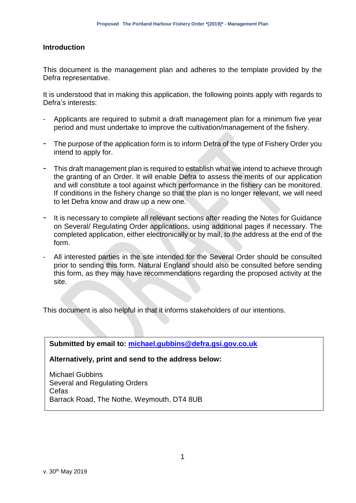#### **Introduction**

This document is the management plan and adheres to the template provided by the Defra representative.

It is understood that in making this application, the following points apply with regards to Defra's interests:

- Applicants are required to submit a draft management plan for a minimum five year period and must undertake to improve the cultivation/management of the fishery.
- The purpose of the application form is to inform Defra of the type of Fishery Order you intend to apply for.
- This draft management plan is required to establish what we intend to achieve through the granting of an Order. It will enable Defra to assess the merits of our application and will constitute a tool against which performance in the fishery can be monitored. If conditions in the fishery change so that the plan is no longer relevant, we will need to let Defra know and draw up a new one.
- It is necessary to complete all relevant sections after reading the Notes for Guidance on Several/ Regulating Order applications, using additional pages if necessary. The completed application, either electronically or by mail, to the address at the end of the form.
- All interested parties in the site intended for the Several Order should be consulted prior to sending this form. Natural England should also be consulted before sending this form, as they may have recommendations regarding the proposed activity at the site.

This document is also helpful in that it informs stakeholders of our intentions.

**Submitted by email to: [michael.gubbins@defra.gsi.gov.co.uk](mailto:shellfish@defra.gsi.gov.uk)**

**Alternatively, print and send to the address below:**

Michael Gubbins Several and Regulating Orders **Cefas** Barrack Road, The Nothe, Weymouth, DT4 8UB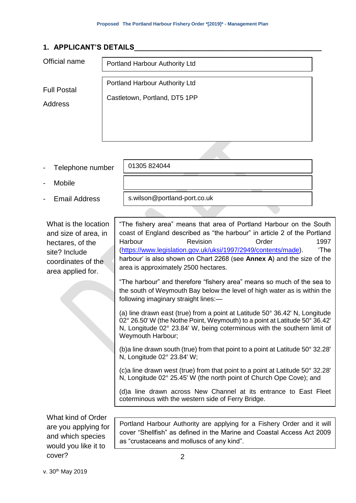#### **1. APPLICANT'S DETAILS\_\_\_\_\_\_\_\_\_\_\_\_\_\_\_\_\_\_\_\_\_\_\_\_\_\_\_\_\_\_\_\_\_\_\_\_\_\_\_\_\_\_\_\_\_\_\_**

| Official name                 | Portland Harbour Authority Ltd                                  |
|-------------------------------|-----------------------------------------------------------------|
| <b>Full Postal</b><br>Address | Portland Harbour Authority Ltd<br>Castletown, Portland, DT5 1PP |
|                               |                                                                 |

- Telephone number
- **Mobile**
- Email Address

What is the location and size of area, in hectares, of the site? Include coordinates of the area applied for.

s.wilson@portland-port.co.uk

01305 824044

"The fishery area" means that area of Portland Harbour on the South coast of England described as "the harbour" in article 2 of the Portland Harbour **Revision Crder** 1997 [\(https://www.legislation.gov.uk/uksi/1997/2949/contents/made\)](https://www.legislation.gov.uk/uksi/1997/2949/contents/made). 'The harbour' is also shown on Chart 2268 (see **Annex A**) and the size of the area is approximately 2500 hectares.

"The harbour" and therefore "fishery area" means so much of the sea to the south of Weymouth Bay below the level of high water as is within the following imaginary straight lines:—

(a) line drawn east (true) from a point at Latitude 50° 36.42' N, Longitude 02° 26.50' W (the Nothe Point, Weymouth) to a point at Latitude 50° 36.42' N, Longitude 02° 23.84' W, being coterminous with the southern limit of Weymouth Harbour;

(b)a line drawn south (true) from that point to a point at Latitude 50° 32.28' N, Longitude 02° 23.84' W;

(c)a line drawn west (true) from that point to a point at Latitude 50° 32.28' N, Longitude 02° 25.45' W (the north point of Church Ope Cove); and

(d)a line drawn across New Channel at its entrance to East Fleet coterminous with the western side of Ferry Bridge.

What kind of Order are you applying for and which species would you like it to cover?

Portland Harbour Authority are applying for a Fishery Order and it will cover "Shellfish" as defined in the Marine and Coastal Access Act 2009 as "crustaceans and molluscs of any kind".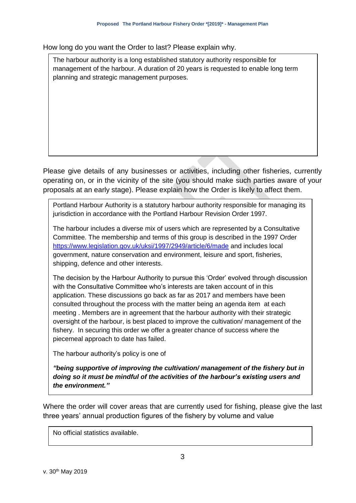How long do you want the Order to last? Please explain why.

The harbour authority is a long established statutory authority responsible for management of the harbour. A duration of 20 years is requested to enable long term planning and strategic management purposes.

Please give details of any businesses or activities, including other fisheries, currently operating on, or in the vicinity of the site (you should make such parties aware of your proposals at an early stage). Please explain how the Order is likely to affect them.

Portland Harbour Authority is a statutory harbour authority responsible for managing its jurisdiction in accordance with the Portland Harbour Revision Order 1997.

The harbour includes a diverse mix of users which are represented by a Consultative Committee. The membership and terms of this group is described in the 1997 Order <https://www.legislation.gov.uk/uksi/1997/2949/article/6/made> and includes local government, nature conservation and environment, leisure and sport, fisheries, shipping, defence and other interests.

The decision by the Harbour Authority to pursue this 'Order' evolved through discussion with the Consultative Committee who's interests are taken account of in this application. These discussions go back as far as 2017 and members have been consulted throughout the process with the matter being an agenda item at each meeting . Members are in agreement that the harbour authority with their strategic oversight of the harbour, is best placed to improve the cultivation/ management of the fishery. In securing this order we offer a greater chance of success where the piecemeal approach to date has failed.

The harbour authority's policy is one of

*"being supportive of improving the cultivation/ management of the fishery but in doing so it must be mindful of the activities of the harbour's existing users and the environment."*

Where the order will cover areas that are currently used for fishing, please give the last three years' annual production figures of the fishery by volume and value

No official statistics available.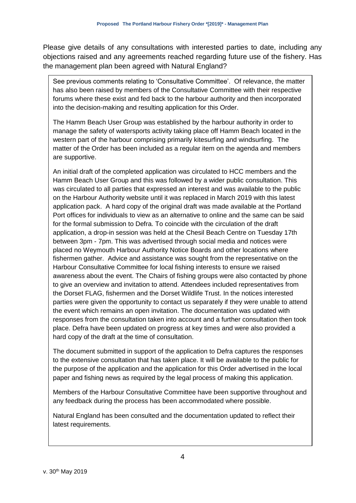Please give details of any consultations with interested parties to date, including any objections raised and any agreements reached regarding future use of the fishery. Has the management plan been agreed with Natural England?

See previous comments relating to 'Consultative Committee'. Of relevance, the matter has also been raised by members of the Consultative Committee with their respective forums where these exist and fed back to the harbour authority and then incorporated into the decision-making and resulting application for this Order.

The Hamm Beach User Group was established by the harbour authority in order to manage the safety of watersports activity taking place off Hamm Beach located in the western part of the harbour comprising primarily kitesurfing and windsurfing. The matter of the Order has been included as a regular item on the agenda and members are supportive.

An initial draft of the completed application was circulated to HCC members and the Hamm Beach User Group and this was followed by a wider public consultation. This was circulated to all parties that expressed an interest and was available to the public on the Harbour Authority website until it was replaced in March 2019 with this latest application pack. A hard copy of the original draft was made available at the Portland Port offices for individuals to view as an alternative to online and the same can be said for the formal submission to Defra. To coincide with the circulation of the draft application, a drop-in session was held at the Chesil Beach Centre on Tuesday 17th between 3pm - 7pm. This was advertised through social media and notices were placed no Weymouth Harbour Authority Notice Boards and other locations where fishermen gather. Advice and assistance was sought from the representative on the Harbour Consultative Committee for local fishing interests to ensure we raised awareness about the event. The Chairs of fishing groups were also contacted by phone to give an overview and invitation to attend. Attendees included representatives from the Dorset FLAG, fishermen and the Dorset Wildlife Trust. In the notices interested parties were given the opportunity to contact us separately if they were unable to attend the event which remains an open invitation. The documentation was updated with responses from the consultation taken into account and a further consultation then took place. Defra have been updated on progress at key times and were also provided a hard copy of the draft at the time of consultation.

The document submitted in support of the application to Defra captures the responses to the extensive consultation that has taken place. It will be available to the public for the purpose of the application and the application for this Order advertised in the local paper and fishing news as required by the legal process of making this application.

Members of the Harbour Consultative Committee have been supportive throughout and any feedback during the process has been accommodated where possible.

Natural England has been consulted and the documentation updated to reflect their latest requirements.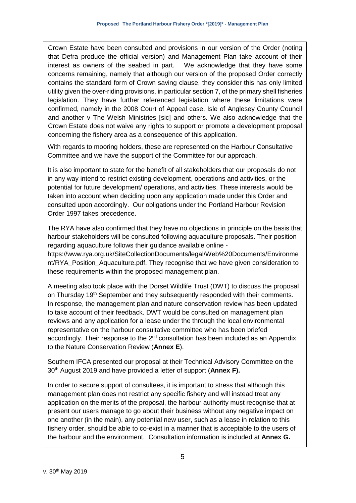Crown Estate have been consulted and provisions in our version of the Order (noting that Defra produce the official version) and Management Plan take account of their interest as owners of the seabed in part. We acknowledge that they have some concerns remaining, namely that although our version of the proposed Order correctly contains the standard form of Crown saving clause, they consider this has only limited utility given the over-riding provisions, in particular section 7, of the primary shell fisheries legislation. They have further referenced legislation where these limitations were confirmed, namely in the 2008 Court of Appeal case, Isle of Anglesey County Council and another v The Welsh Ministries [sic] and others. We also acknowledge that the Crown Estate does not waive any rights to support or promote a development proposal concerning the fishery area as a consequence of this application.

With regards to mooring holders, these are represented on the Harbour Consultative Committee and we have the support of the Committee for our approach.

It is also important to state for the benefit of all stakeholders that our proposals do not in any way intend to restrict existing development, operations and activities, or the potential for future development/ operations, and activities. These interests would be taken into account when deciding upon any application made under this Order and consulted upon accordingly. Our obligations under the Portland Harbour Revision Order 1997 takes precedence.

The RYA have also confirmed that they have no objections in principle on the basis that harbour stakeholders will be consulted following aquaculture proposals. Their position regarding aquaculture follows their guidance available online https://www.rya.org.uk/SiteCollectionDocuments/legal/Web%20Documents/Environme nt/RYA\_Position\_Aquaculture.pdf. They recognise that we have given consideration to these requirements within the proposed management plan.

A meeting also took place with the Dorset Wildlife Trust (DWT) to discuss the proposal on Thursday  $19<sup>th</sup>$  September and they subsequently responded with their comments. In response, the management plan and nature conservation review has been updated to take account of their feedback. DWT would be consulted on management plan reviews and any application for a lease under the through the local environmental representative on the harbour consultative committee who has been briefed accordingly. Their response to the  $2<sup>nd</sup>$  consultation has been included as an Appendix to the Nature Conservation Review (**Annex E**).

Southern IFCA presented our proposal at their Technical Advisory Committee on the 30th August 2019 and have provided a letter of support (**Annex F).**

In order to secure support of consultees, it is important to stress that although this management plan does not restrict any specific fishery and will instead treat any application on the merits of the proposal, the harbour authority must recognise that at present our users manage to go about their business without any negative impact on one another (in the main), any potential new user, such as a lease in relation to this fishery order, should be able to co-exist in a manner that is acceptable to the users of the harbour and the environment. Consultation information is included at **Annex G.**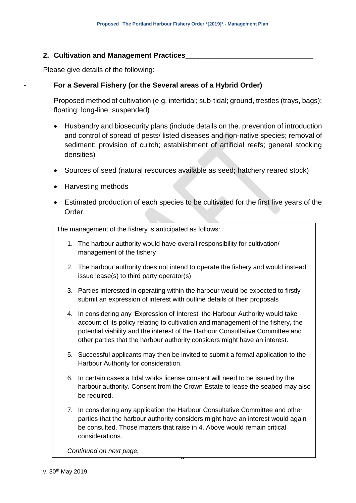#### **2. Cultivation and Management Practices\_\_\_\_\_\_\_\_\_\_\_\_\_\_\_\_\_\_\_\_\_\_\_\_\_\_\_\_\_\_\_\_**

Please give details of the following:

#### - **For a Several Fishery (or the Several areas of a Hybrid Order)**

Proposed method of cultivation (e.g. intertidal; sub-tidal; ground, trestles (trays, bags); floating; long-line; suspended)

- Husbandry and biosecurity plans (include details on the. prevention of introduction and control of spread of pests/ listed diseases and non-native species; removal of sediment: provision of cultch; establishment of artificial reefs; general stocking densities)
- Sources of seed (natural resources available as seed; hatchery reared stock)
- Harvesting methods
- Estimated production of each species to be cultivated for the first five years of the Order.

The management of the fishery is anticipated as follows:

- 1. The harbour authority would have overall responsibility for cultivation/ management of the fishery
- 2. The harbour authority does not intend to operate the fishery and would instead issue lease(s) to third party operator(s)
- 3. Parties interested in operating within the harbour would be expected to firstly submit an expression of interest with outline details of their proposals
- 4. In considering any 'Expression of Interest' the Harbour Authority would take account of its policy relating to cultivation and management of the fishery, the potential viability and the interest of the Harbour Consultative Committee and other parties that the harbour authority considers might have an interest.
- 5. Successful applicants may then be invited to submit a formal application to the Harbour Authority for consideration.
- 6. In certain cases a tidal works license consent will need to be issued by the harbour authority. Consent from the Crown Estate to lease the seabed may also be required.
- 7. In considering any application the Harbour Consultative Committee and other parties that the harbour authority considers might have an interest would again be consulted. Those matters that raise in 4. Above would remain critical considerations.

9

*Continued on next page.*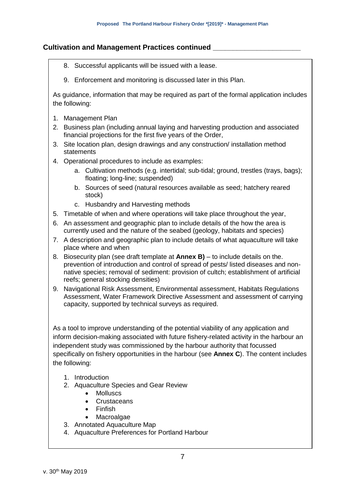#### **Cultivation and Management Practices continued \_\_\_\_\_\_\_\_\_\_\_\_\_\_\_\_\_\_\_\_\_\_**

- 8. Successful applicants will be issued with a lease.
- 9. Enforcement and monitoring is discussed later in this Plan.

As guidance, information that may be required as part of the formal application includes the following:

- 1. Management Plan
- 2. Business plan (including annual laying and harvesting production and associated financial projections for the first five years of the Order,
- 3. Site location plan, design drawings and any construction/ installation method statements
- 4. Operational procedures to include as examples:
	- a. Cultivation methods (e.g. intertidal; sub-tidal; ground, trestles (trays, bags); floating; long-line; suspended)
	- b. Sources of seed (natural resources available as seed; hatchery reared stock)
	- c. Husbandry and Harvesting methods
- 5. Timetable of when and where operations will take place throughout the year,
- 6. An assessment and geographic plan to include details of the how the area is currently used and the nature of the seabed (geology, habitats and species)
- 7. A description and geographic plan to include details of what aquaculture will take place where and when
- 8. Biosecurity plan (see draft template at **Annex B)**  to include details on the. prevention of introduction and control of spread of pests/ listed diseases and nonnative species; removal of sediment: provision of cultch; establishment of artificial reefs; general stocking densities)
- 9. Navigational Risk Assessment, Environmental assessment, Habitats Regulations Assessment, Water Framework Directive Assessment and assessment of carrying capacity, supported by technical surveys as required.

As a tool to improve understanding of the potential viability of any application and inform decision-making associated with future fishery-related activity in the harbour an independent study was commissioned by the harbour authority that focussed specifically on fishery opportunities in the harbour (see **Annex C**). The content includes the following:

- 1. Introduction
- 2. Aquaculture Species and Gear Review
	- **Molluscs**
	- Crustaceans
	- Finfish
	- **Macroalgae**
- 3. Annotated Aquaculture Map
- 4. Aquaculture Preferences for Portland Harbour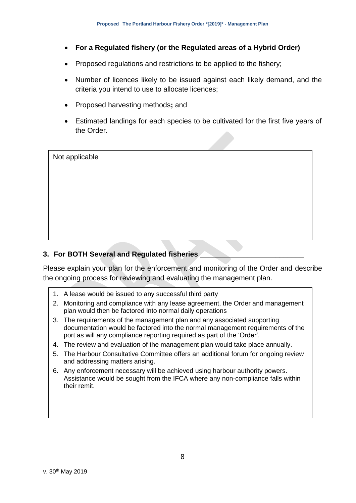- **For a Regulated fishery (or the Regulated areas of a Hybrid Order)**
- Proposed regulations and restrictions to be applied to the fishery;
- Number of licences likely to be issued against each likely demand, and the criteria you intend to use to allocate licences;
- Proposed harvesting methods**;** and
- Estimated landings for each species to be cultivated for the first five years of the Order.

| Not applicable |  |  |  |
|----------------|--|--|--|
|                |  |  |  |
|                |  |  |  |
|                |  |  |  |
|                |  |  |  |
|                |  |  |  |
|                |  |  |  |
|                |  |  |  |
|                |  |  |  |
|                |  |  |  |
|                |  |  |  |

#### **3. For BOTH Several and Regulated fisheries \_\_\_\_\_\_\_\_\_\_\_\_\_\_\_\_\_\_\_\_\_\_\_\_\_\_**

Please explain your plan for the enforcement and monitoring of the Order and describe the ongoing process for reviewing and evaluating the management plan.

- 1. A lease would be issued to any successful third party
- 2. Monitoring and compliance with any lease agreement, the Order and management plan would then be factored into normal daily operations
- 3. The requirements of the management plan and any associated supporting documentation would be factored into the normal management requirements of the port as will any compliance reporting required as part of the 'Order'.
- 4. The review and evaluation of the management plan would take place annually.
- 5. The Harbour Consultative Committee offers an additional forum for ongoing review and addressing matters arising.
- 6. Any enforcement necessary will be achieved using harbour authority powers. Assistance would be sought from the IFCA where any non-compliance falls within their remit.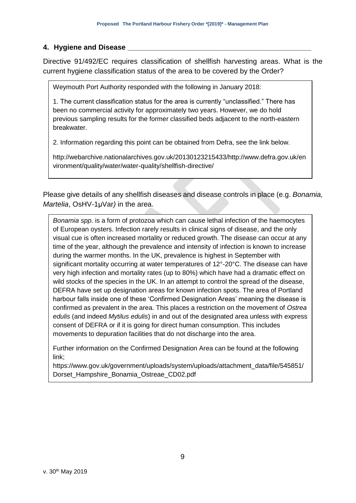#### **4. Hygiene and Disease \_\_\_\_\_\_\_\_\_\_\_\_\_\_\_\_\_\_\_\_\_\_\_\_\_\_\_\_\_\_\_\_\_\_\_\_\_\_\_\_\_\_\_\_\_\_**

Directive 91/492/EC requires classification of shellfish harvesting areas. What is the current hygiene classification status of the area to be covered by the Order?

Weymouth Port Authority responded with the following in January 2018:

1. The current classification status for the area is currently "unclassified." There has been no commercial activity for approximately two years. However, we do hold previous sampling results for the former classified beds adjacent to the north-eastern breakwater.

2. Information regarding this point can be obtained from Defra, see the link below.

http://webarchive.nationalarchives.gov.uk/20130123215433/http://www.defra.gov.uk/en vironment/quality/water/water-quality/shellfish-directive/

Please give details of any shellfish diseases and disease controls in place (e.g. *Bonamia, Martelia*, OsHV-1μVar*)* in the area.

*Bonamia spp*. is a form of protozoa which can cause lethal infection of the haemocytes of European oysters. Infection rarely results in clinical signs of disease, and the only visual cue is often increased mortality or reduced growth. The disease can occur at any time of the year, although the prevalence and intensity of infection is known to increase during the warmer months. In the UK, prevalence is highest in September with significant mortality occurring at water temperatures of 12°-20°C. The disease can have very high infection and mortality rates (up to 80%) which have had a dramatic effect on wild stocks of the species in the UK. In an attempt to control the spread of the disease, DEFRA have set up designation areas for known infection spots. The area of Portland harbour falls inside one of these 'Confirmed Designation Areas' meaning the disease is confirmed as prevalent in the area. This places a restriction on the movement of *Ostrea edulis* (and indeed *Mytilus edulis*) in and out of the designated area unless with express consent of DEFRA or if it is going for direct human consumption. This includes movements to depuration facilities that do not discharge into the area.

Further information on the Confirmed Designation Area can be found at the following link;

https://www.gov.uk/government/uploads/system/uploads/attachment\_data/file/545851/ Dorset\_Hampshire\_Bonamia\_Ostreae\_CD02.pdf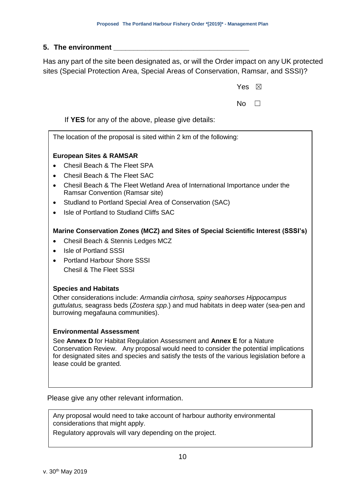#### **5. The environment \_\_\_\_\_\_\_\_\_\_\_\_\_\_\_\_\_\_\_\_\_\_\_\_\_\_\_\_\_\_\_\_\_\_**

Has any part of the site been designated as, or will the Order impact on any UK protected sites (Special Protection Area, Special Areas of Conservation, Ramsar, and SSSI)?

|       | Yes $\boxtimes$ |  |  |
|-------|-----------------|--|--|
|       | No $\square$    |  |  |
| ails: |                 |  |  |

If **YES** for any of the above, please give deta

The location of the proposal is sited within 2 km of the following:

#### **European Sites & RAMSAR**

- Chesil Beach & The Fleet SPA
- Chesil Beach & The Fleet SAC
- Chesil Beach & The Fleet Wetland Area of International Importance under the Ramsar Convention (Ramsar site)
- Studland to Portland Special Area of Conservation (SAC)
- Isle of Portland to Studland Cliffs SAC

#### **Marine Conservation Zones (MCZ) and Sites of Special Scientific Interest (SSSI's)**

- Chesil Beach & Stennis Ledges MCZ
- Isle of Portland SSSI
- Portland Harbour Shore SSSI Chesil & The Fleet SSSI

#### **Species and Habitats**

Other considerations include: *Armandia cirrhosa, spiny seahorses Hippocampus guttulatus,* seagrass beds (*Zostera spp*.) and mud habitats in deep water (sea-pen and burrowing megafauna communities).

#### **Environmental Assessment**

See **Annex D** for Habitat Regulation Assessment and **Annex E** for a Nature Conservation Review. Any proposal would need to consider the potential implications for designated sites and species and satisfy the tests of the various legislation before a lease could be granted.

Please give any other relevant information.

Any proposal would need to take account of harbour authority environmental considerations that might apply.

Regulatory approvals will vary depending on the project.